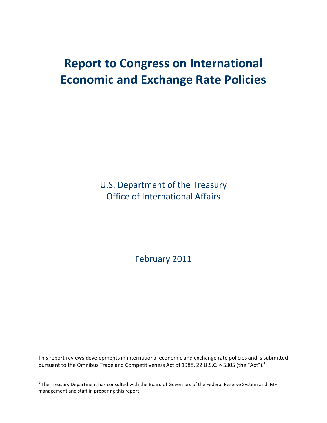# **Report to Congress on International Economic and Exchange Rate Policies**

U.S. Department of the Treasury Office of International Affairs

February 2011

This report reviews developments in international economic and exchange rate policies and is submitted pursuant to the Omnibus Trade and Competitiveness Act of 1988, 22 U.S.C. § 5305 (the "Act").<sup>1</sup>

 $\overline{a}$ 

 $^1$  The Treasury Department has consulted with the Board of Governors of the Federal Reserve System and IMF management and staff in preparing this report.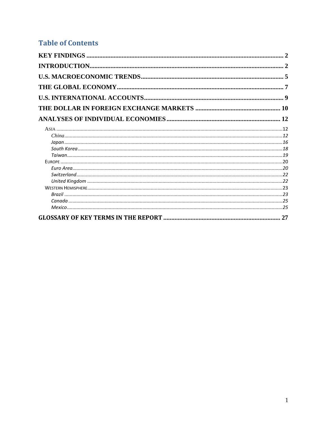## **Table of Contents**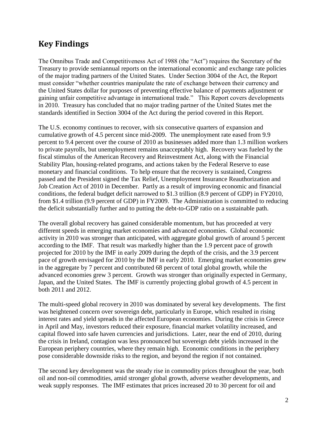## <span id="page-2-0"></span>**Key Findings**

<span id="page-2-1"></span>The Omnibus Trade and Competitiveness Act of 1988 (the "Act") requires the Secretary of the Treasury to provide semiannual reports on the international economic and exchange rate policies of the major trading partners of the United States. Under Section 3004 of the Act, the Report must consider "whether countries manipulate the rate of exchange between their currency and the United States dollar for purposes of preventing effective balance of payments adjustment or gaining unfair competitive advantage in international trade." This Report covers developments in 2010. Treasury has concluded that no major trading partner of the United States met the standards identified in Section 3004 of the Act during the period covered in this Report.

The U.S. economy continues to recover, with six consecutive quarters of expansion and cumulative growth of 4.5 percent since mid-2009. The unemployment rate eased from 9.9 percent to 9.4 percent over the course of 2010 as businesses added more than 1.3 million workers to private payrolls, but unemployment remains unacceptably high. Recovery was fueled by the fiscal stimulus of the American Recovery and Reinvestment Act, along with the Financial Stability Plan, housing-related programs, and actions taken by the Federal Reserve to ease monetary and financial conditions. To help ensure that the recovery is sustained, Congress passed and the President signed the Tax Relief, Unemployment Insurance Reauthorization and Job Creation Act of 2010 in December. Partly as a result of improving economic and financial conditions, the federal budget deficit narrowed to \$1.3 trillion (8.9 percent of GDP) in FY2010, from \$1.4 trillion (9.9 percent of GDP) in FY2009. The Administration is committed to reducing the deficit substantially further and to putting the debt-to-GDP ratio on a sustainable path.

The overall global recovery has gained considerable momentum, but has proceeded at very different speeds in emerging market economies and advanced economies. Global economic activity in 2010 was stronger than anticipated, with aggregate global growth of around 5 percent according to the IMF. That result was markedly higher than the 1.9 percent pace of growth projected for 2010 by the IMF in early 2009 during the depth of the crisis, and the 3.9 percent pace of growth envisaged for 2010 by the IMF in early 2010. Emerging market economies grew in the aggregate by 7 percent and contributed 68 percent of total global growth, while the advanced economies grew 3 percent. Growth was stronger than originally expected in Germany, Japan, and the United States. The IMF is currently projecting global growth of 4.5 percent in both 2011 and 2012.

The multi-speed global recovery in 2010 was dominated by several key developments. The first was heightened concern over sovereign debt, particularly in Europe, which resulted in rising interest rates and yield spreads in the affected European economies. During the crisis in Greece in April and May, investors reduced their exposure, financial market volatility increased, and capital flowed into safe haven currencies and jurisdictions. Later, near the end of 2010, during the crisis in Ireland, contagion was less pronounced but sovereign debt yields increased in the European periphery countries, where they remain high. Economic conditions in the periphery pose considerable downside risks to the region, and beyond the region if not contained.

The second key development was the steady rise in commodity prices throughout the year, both oil and non-oil commodities, amid stronger global growth, adverse weather developments, and weak supply responses. The IMF estimates that prices increased 20 to 30 percent for oil and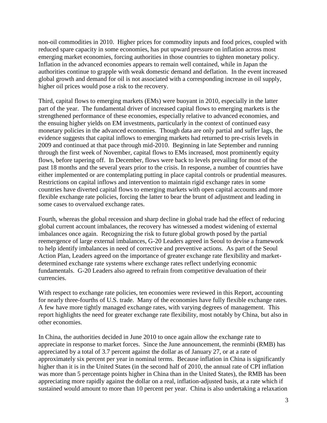non-oil commodities in 2010. Higher prices for commodity inputs and food prices, coupled with reduced spare capacity in some economies, has put upward pressure on inflation across most emerging market economies, forcing authorities in those countries to tighten monetary policy. Inflation in the advanced economies appears to remain well contained, while in Japan the authorities continue to grapple with weak domestic demand and deflation. In the event increased global growth and demand for oil is not associated with a corresponding increase in oil supply, higher oil prices would pose a risk to the recovery.

Third, capital flows to emerging markets (EMs) were buoyant in 2010, especially in the latter part of the year. The fundamental driver of increased capital flows to emerging markets is the strengthened performance of these economies, especially relative to advanced economies, and the ensuing higher yields on EM investments, particularly in the context of continued easy monetary policies in the advanced economies. Though data are only partial and suffer lags, the evidence suggests that capital inflows to emerging markets had returned to pre-crisis levels in 2009 and continued at that pace through mid-2010. Beginning in late September and running through the first week of November, capital flows to EMs increased, most prominently equity flows, before tapering off. In December, flows were back to levels prevailing for most of the past 18 months and the several years prior to the crisis. In response, a number of countries have either implemented or are contemplating putting in place capital controls or prudential measures. Restrictions on capital inflows and intervention to maintain rigid exchange rates in some countries have diverted capital flows to emerging markets with open capital accounts and more flexible exchange rate policies, forcing the latter to bear the brunt of adjustment and leading in some cases to overvalued exchange rates.

Fourth, whereas the global recession and sharp decline in global trade had the effect of reducing global current account imbalances, the recovery has witnessed a modest widening of external imbalances once again. Recognizing the risk to future global growth posed by the partial reemergence of large external imbalances, G-20 Leaders agreed in Seoul to devise a framework to help identify imbalances in need of corrective and preventive actions. As part of the Seoul Action Plan, Leaders agreed on the importance of greater exchange rate flexibility and marketdetermined exchange rate systems where exchange rates reflect underlying economic fundamentals. G-20 Leaders also agreed to refrain from competitive devaluation of their currencies.

With respect to exchange rate policies, ten economies were reviewed in this Report, accounting for nearly three-fourths of U.S. trade. Many of the economies have fully flexible exchange rates. A few have more tightly managed exchange rates, with varying degrees of management. This report highlights the need for greater exchange rate flexibility, most notably by China, but also in other economies.

In China, the authorities decided in June 2010 to once again allow the exchange rate to appreciate in response to market forces. Since the June announcement, the renminbi (RMB) has appreciated by a total of 3.7 percent against the dollar as of January 27, or at a rate of approximately six percent per year in nominal terms. Because inflation in China is significantly higher than it is in the United States (in the second half of 2010, the annual rate of CPI inflation was more than 5 percentage points higher in China than in the United States), the RMB has been appreciating more rapidly against the dollar on a real, inflation-adjusted basis, at a rate which if sustained would amount to more than 10 percent per year. China is also undertaking a relaxation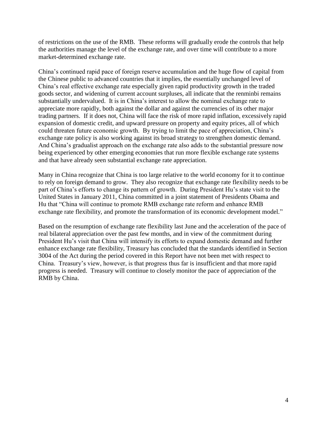of restrictions on the use of the RMB. These reforms will gradually erode the controls that help the authorities manage the level of the exchange rate, and over time will contribute to a more market-determined exchange rate.

China's continued rapid pace of foreign reserve accumulation and the huge flow of capital from the Chinese public to advanced countries that it implies, the essentially unchanged level of China's real effective exchange rate especially given rapid productivity growth in the traded goods sector, and widening of current account surpluses, all indicate that the renminbi remains substantially undervalued. It is in China's interest to allow the nominal exchange rate to appreciate more rapidly, both against the dollar and against the currencies of its other major trading partners. If it does not, China will face the risk of more rapid inflation, excessively rapid expansion of domestic credit, and upward pressure on property and equity prices, all of which could threaten future economic growth. By trying to limit the pace of appreciation, China's exchange rate policy is also working against its broad strategy to strengthen domestic demand. And China's gradualist approach on the exchange rate also adds to the substantial pressure now being experienced by other emerging economies that run more flexible exchange rate systems and that have already seen substantial exchange rate appreciation.

Many in China recognize that China is too large relative to the world economy for it to continue to rely on foreign demand to grow. They also recognize that exchange rate flexibility needs to be part of China's efforts to change its pattern of growth. During President Hu's state visit to the United States in January 2011, China committed in a joint statement of Presidents Obama and Hu that "China will continue to promote RMB exchange rate reform and enhance RMB exchange rate flexibility, and promote the transformation of its economic development model."

Based on the resumption of exchange rate flexibility last June and the acceleration of the pace of real bilateral appreciation over the past few months, and in view of the commitment during President Hu's visit that China will intensify its efforts to expand domestic demand and further enhance exchange rate flexibility, Treasury has concluded that the standards identified in Section 3004 of the Act during the period covered in this Report have not been met with respect to China. Treasury's view, however, is that progress thus far is insufficient and that more rapid progress is needed. Treasury will continue to closely monitor the pace of appreciation of the RMB by China.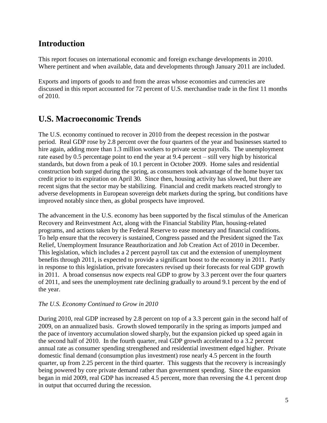## **Introduction**

This report focuses on international economic and foreign exchange developments in 2010. Where pertinent and when available, data and developments through January 2011 are included.

Exports and imports of goods to and from the areas whose economies and currencies are discussed in this report accounted for 72 percent of U.S. merchandise trade in the first 11 months of 2010.

## <span id="page-5-0"></span>**U.S. Macroeconomic Trends**

The U.S. economy continued to recover in 2010 from the deepest recession in the postwar period. Real GDP rose by 2.8 percent over the four quarters of the year and businesses started to hire again, adding more than 1.3 million workers to private sector payrolls. The unemployment rate eased by 0.5 percentage point to end the year at 9.4 percent – still very high by historical standards, but down from a peak of 10.1 percent in October 2009. Home sales and residential construction both surged during the spring, as consumers took advantage of the home buyer tax credit prior to its expiration on April 30. Since then, housing activity has slowed, but there are recent signs that the sector may be stabilizing. Financial and credit markets reacted strongly to adverse developments in European sovereign debt markets during the spring, but conditions have improved notably since then, as global prospects have improved.

The advancement in the U.S. economy has been supported by the fiscal stimulus of the American Recovery and Reinvestment Act, along with the Financial Stability Plan, housing-related programs, and actions taken by the Federal Reserve to ease monetary and financial conditions. To help ensure that the recovery is sustained, Congress passed and the President signed the Tax Relief, Unemployment Insurance Reauthorization and Job Creation Act of 2010 in December. This legislation, which includes a 2 percent payroll tax cut and the extension of unemployment benefits through 2011, is expected to provide a significant boost to the economy in 2011. Partly in response to this legislation, private forecasters revised up their forecasts for real GDP growth in 2011. A broad consensus now expects real GDP to grow by 3.3 percent over the four quarters of 2011, and sees the unemployment rate declining gradually to around 9.1 percent by the end of the year.

#### *The U.S. Economy Continued to Grow in 2010*

During 2010, real GDP increased by 2.8 percent on top of a 3.3 percent gain in the second half of 2009, on an annualized basis. Growth slowed temporarily in the spring as imports jumped and the pace of inventory accumulation slowed sharply, but the expansion picked up speed again in the second half of 2010. In the fourth quarter, real GDP growth accelerated to a 3.2 percent annual rate as consumer spending strengthened and residential investment edged higher. Private domestic final demand (consumption plus investment) rose nearly 4.5 percent in the fourth quarter, up from 2.25 percent in the third quarter. This suggests that the recovery is increasingly being powered by core private demand rather than government spending. Since the expansion began in mid 2009, real GDP has increased 4.5 percent, more than reversing the 4.1 percent drop in output that occurred during the recession.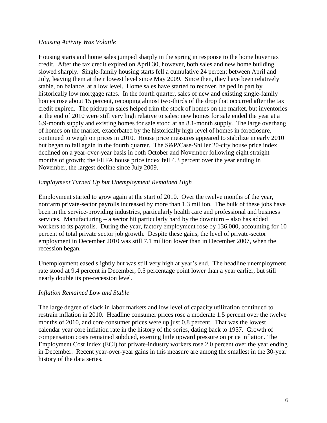#### *Housing Activity Was Volatile*

Housing starts and home sales jumped sharply in the spring in response to the home buyer tax credit. After the tax credit expired on April 30, however, both sales and new home building slowed sharply. Single-family housing starts fell a cumulative 24 percent between April and July, leaving them at their lowest level since May 2009. Since then, they have been relatively stable, on balance, at a low level. Home sales have started to recover, helped in part by historically low mortgage rates. In the fourth quarter, sales of new and existing single-family homes rose about 15 percent, recouping almost two-thirds of the drop that occurred after the tax credit expired. The pickup in sales helped trim the stock of homes on the market, but inventories at the end of 2010 were still very high relative to sales: new homes for sale ended the year at a 6.9-month supply and existing homes for sale stood at an 8.1-month supply. The large overhang of homes on the market, exacerbated by the historically high level of homes in foreclosure, continued to weigh on prices in 2010. House price measures appeared to stabilize in early 2010 but began to fall again in the fourth quarter. The S&P/Case-Shiller 20-city house price index declined on a year-over-year basis in both October and November following eight straight months of growth; the FHFA house price index fell 4.3 percent over the year ending in November, the largest decline since July 2009.

#### *Employment Turned Up but Unemployment Remained High*

Employment started to grow again at the start of 2010. Over the twelve months of the year, nonfarm private-sector payrolls increased by more than 1.3 million. The bulk of these jobs have been in the service-providing industries, particularly health care and professional and business services. Manufacturing – a sector hit particularly hard by the downturn – also has added workers to its payrolls. During the year, factory employment rose by 136,000, accounting for 10 percent of total private sector job growth. Despite these gains, the level of private-sector employment in December 2010 was still 7.1 million lower than in December 2007, when the recession began.

Unemployment eased slightly but was still very high at year's end. The headline unemployment rate stood at 9.4 percent in December, 0.5 percentage point lower than a year earlier, but still nearly double its pre-recession level.

#### *Inflation Remained Low and Stable*

The large degree of slack in labor markets and low level of capacity utilization continued to restrain inflation in 2010. Headline consumer prices rose a moderate 1.5 percent over the twelve months of 2010, and core consumer prices were up just 0.8 percent. That was the lowest calendar year core inflation rate in the history of the series, dating back to 1957. Growth of compensation costs remained subdued, exerting little upward pressure on price inflation. The Employment Cost Index (ECI) for private-industry workers rose 2.0 percent over the year ending in December. Recent year-over-year gains in this measure are among the smallest in the 30-year history of the data series.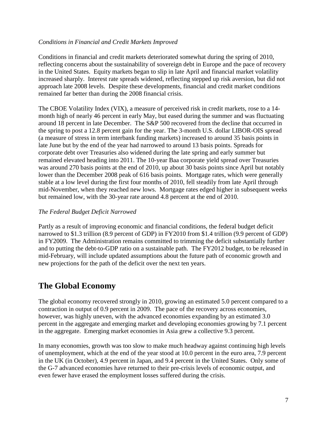#### *Conditions in Financial and Credit Markets Improved*

Conditions in financial and credit markets deteriorated somewhat during the spring of 2010, reflecting concerns about the sustainability of sovereign debt in Europe and the pace of recovery in the United States. Equity markets began to slip in late April and financial market volatility increased sharply. Interest rate spreads widened, reflecting stepped up risk aversion, but did not approach late 2008 levels. Despite these developments, financial and credit market conditions remained far better than during the 2008 financial crisis.

The CBOE Volatility Index (VIX), a measure of perceived risk in credit markets, rose to a 14 month high of nearly 46 percent in early May, but eased during the summer and was fluctuating around 18 percent in late December. The S&P 500 recovered from the decline that occurred in the spring to post a 12.8 percent gain for the year. The 3-month U.S. dollar LIBOR-OIS spread (a measure of stress in term interbank funding markets) increased to around 35 basis points in late June but by the end of the year had narrowed to around 13 basis points. Spreads for corporate debt over Treasuries also widened during the late spring and early summer but remained elevated heading into 2011. The 10-year Baa corporate yield spread over Treasuries was around 270 basis points at the end of 2010, up about 30 basis points since April but notably lower than the December 2008 peak of 616 basis points. Mortgage rates, which were generally stable at a low level during the first four months of 2010, fell steadily from late April through mid-November, when they reached new lows. Mortgage rates edged higher in subsequent weeks but remained low, with the 30-year rate around 4.8 percent at the end of 2010.

#### *The Federal Budget Deficit Narrowed*

Partly as a result of improving economic and financial conditions, the federal budget deficit narrowed to \$1.3 trillion (8.9 percent of GDP) in FY2010 from \$1.4 trillion (9.9 percent of GDP) in FY2009. The Administration remains committed to trimming the deficit substantially further and to putting the debt-to-GDP ratio on a sustainable path. The FY2012 budget, to be released in mid-February, will include updated assumptions about the future path of economic growth and new projections for the path of the deficit over the next ten years.

## <span id="page-7-0"></span>**The Global Economy**

The global economy recovered strongly in 2010, growing an estimated 5.0 percent compared to a contraction in output of 0.9 percent in 2009. The pace of the recovery across economies, however, was highly uneven, with the advanced economies expanding by an estimated 3.0 percent in the aggregate and emerging market and developing economies growing by 7.1 percent in the aggregate. Emerging market economies in Asia grew a collective 9.3 percent.

In many economies, growth was too slow to make much headway against continuing high levels of unemployment, which at the end of the year stood at 10.0 percent in the euro area, 7.9 percent in the UK (in October), 4.9 percent in Japan, and 9.4 percent in the United States. Only some of the G-7 advanced economies have returned to their pre-crisis levels of economic output, and even fewer have erased the employment losses suffered during the crisis.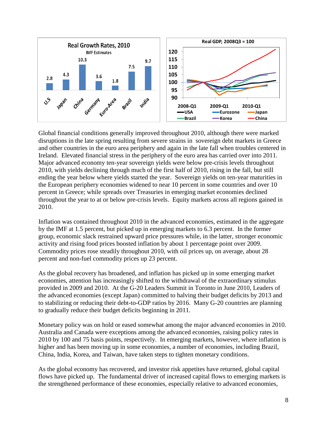

Global financial conditions generally improved throughout 2010, although there were marked disruptions in the late spring resulting from severe strains in sovereign debt markets in Greece and other countries in the euro area periphery and again in the late fall when troubles centered in Ireland. Elevated financial stress in the periphery of the euro area has carried over into 2011. Major advanced economy ten-year sovereign yields were below pre-crisis levels throughout 2010, with yields declining through much of the first half of 2010, rising in the fall, but still ending the year below where yields started the year. Sovereign yields on ten-year maturities in the European periphery economies widened to near 10 percent in some countries and over 10 percent in Greece; while spreads over Treasuries in emerging market economies declined throughout the year to at or below pre-crisis levels. Equity markets across all regions gained in 2010.

Inflation was contained throughout 2010 in the advanced economies, estimated in the aggregate by the IMF at 1.5 percent, but picked up in emerging markets to 6.3 percent. In the former group, economic slack restrained upward price pressures while, in the latter, stronger economic activity and rising food prices boosted inflation by about 1 percentage point over 2009. Commodity prices rose steadily throughout 2010, with oil prices up, on average, about 28 percent and non-fuel commodity prices up 23 percent.

As the global recovery has broadened, and inflation has picked up in some emerging market economies, attention has increasingly shifted to the withdrawal of the extraordinary stimulus provided in 2009 and 2010. At the G-20 Leaders Summit in Toronto in June 2010, Leaders of the advanced economies (except Japan) committed to halving their budget deficits by 2013 and to stabilizing or reducing their debt-to-GDP ratios by 2016. Many G-20 countries are planning to gradually reduce their budget deficits beginning in 2011.

Monetary policy was on hold or eased somewhat among the major advanced economies in 2010. Australia and Canada were exceptions among the advanced economies, raising policy rates in 2010 by 100 and 75 basis points, respectively. In emerging markets, however, where inflation is higher and has been moving up in some economies, a number of economies, including Brazil, China, India, Korea, and Taiwan, have taken steps to tighten monetary conditions.

As the global economy has recovered, and investor risk appetites have returned, global capital flows have picked up. The fundamental driver of increased capital flows to emerging markets is the strengthened performance of these economies, especially relative to advanced economies,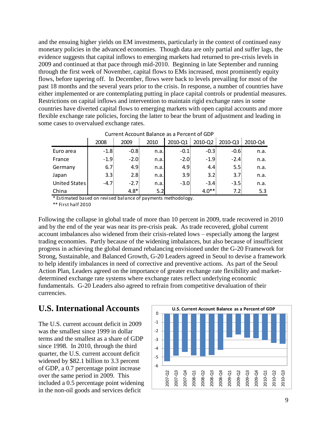and the ensuing higher yields on EM investments, particularly in the context of continued easy monetary policies in the advanced economies. Though data are only partial and suffer lags, the evidence suggests that capital inflows to emerging markets had returned to pre-crisis levels in 2009 and continued at that pace through mid-2010. Beginning in late September and running through the first week of November, capital flows to EMs increased, most prominently equity flows, before tapering off. In December, flows were back to levels prevailing for most of the past 18 months and the several years prior to the crisis. In response, a number of countries have either implemented or are contemplating putting in place capital controls or prudential measures. Restrictions on capital inflows and intervention to maintain rigid exchange rates in some countries have diverted capital flows to emerging markets with open capital accounts and more flexible exchange rate policies, forcing the latter to bear the brunt of adjustment and leading in some cases to overvalued exchange rates.

|               | 2008   | 2009   | 2010 | 2010-Q1 | 2010-Q2 | 2010-Q3 | 2010-Q4 |
|---------------|--------|--------|------|---------|---------|---------|---------|
| Euro area     | $-1.8$ | $-0.8$ | n.a. | $-0.1$  | $-0.3$  | $-0.6$  | n.a.    |
| France        | $-1.9$ | $-2.0$ | n.a. | $-2.0$  | $-1.9$  | $-2.4$  | n.a.    |
| Germany       | 6.7    | 4.9    | n.a. | 4.9     | 4.4     | 5.5     | n.a.    |
| Japan         | 3.3    | 2.8    | n.a. | 3.9     | 3.2     | 3.7%    | n.a.    |
| United States | $-4.7$ | $-2.7$ | n.a. | $-3.0$  | $-3.4$  | $-3.5$  | n.a.    |
| China         |        | $4.8*$ | 5.2  |         | $4.0**$ | 7.2     | 5.3     |

\* Estimated based on revised balance of payments methodology. \*\* First half 2010

Following the collapse in global trade of more than 10 percent in 2009, trade recovered in 2010 and by the end of the year was near its pre-crisis peak. As trade recovered, global current account imbalances also widened from their crisis-related lows – especially among the largest trading economies. Partly because of the widening imbalances, but also because of insufficient progress in achieving the global demand rebalancing envisioned under the G-20 Framework for Strong, Sustainable, and Balanced Growth, G-20 Leaders agreed in Seoul to devise a framework to help identify imbalances in need of corrective and preventive actions. As part of the Seoul Action Plan, Leaders agreed on the importance of greater exchange rate flexibility and marketdetermined exchange rate systems where exchange rates reflect underlying economic fundamentals. G-20 Leaders also agreed to refrain from competitive devaluation of their currencies. Current Account Balance as a Percent of GDP<br> **1.8** - 0.08 n.a. -0.1 - 0.3 - 0.6 n.a.<br> **1.9** - 2.0 n.a. -0.1 - 0.3 - -1.9 - 2.4 n.a.<br> **6.7** 4.9 n.a. -2.0 - 1.9 - 2.4 n.a.<br> **1.9** - 2.8 n.a. -3.0 - 1.9 - 2.4 n.a.<br> **1.9** - 2.8

## <span id="page-9-0"></span>**U.S. International Accounts**

The U.S. current account deficit in 2009 was the smallest since 1999 in dollar terms and the smallest as a share of GDP since 1998. In 2010, through the third quarter, the U.S. current account deficit widened by \$82.1 billion to 3.3 percent of GDP, a 0.7 percentage point increase over the same period in 2009. This included a 0.5 percentage point widening in the non-oil goods and services deficit

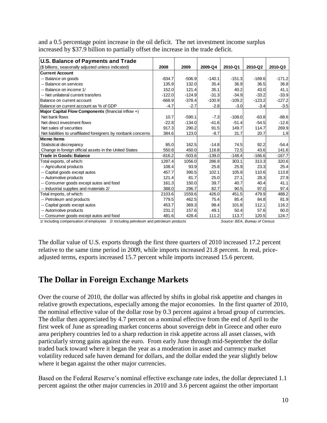and a 0.5 percentage point increase in the oil deficit. The net investment income surplus increased by \$37.9 billion to partially offset the increase in the trade deficit.

| <b>U.S. Balance of Payments and Trade</b>                                                                                                                                                                                                                                                                                                                                                                                                                                                                                                                                                                                                                                                                                                                                                                                                                                                                                                                               |                   |                   |                   |                  |                  |                   |
|-------------------------------------------------------------------------------------------------------------------------------------------------------------------------------------------------------------------------------------------------------------------------------------------------------------------------------------------------------------------------------------------------------------------------------------------------------------------------------------------------------------------------------------------------------------------------------------------------------------------------------------------------------------------------------------------------------------------------------------------------------------------------------------------------------------------------------------------------------------------------------------------------------------------------------------------------------------------------|-------------------|-------------------|-------------------|------------------|------------------|-------------------|
| (\$ billions, seasonally adjusted unless indicated)                                                                                                                                                                                                                                                                                                                                                                                                                                                                                                                                                                                                                                                                                                                                                                                                                                                                                                                     | 2008              | 2009              | 2009-Q4           | 2010-Q1          | 2010-Q2          | 2010-Q3           |
| <b>Current Account</b>                                                                                                                                                                                                                                                                                                                                                                                                                                                                                                                                                                                                                                                                                                                                                                                                                                                                                                                                                  |                   |                   |                   |                  |                  |                   |
| -- Balance on goods                                                                                                                                                                                                                                                                                                                                                                                                                                                                                                                                                                                                                                                                                                                                                                                                                                                                                                                                                     | -834.7            | $-506.9$          | $-140.1$          | $-151.3$         | $-169.6$         | $-171.2$          |
| -- Balance on services                                                                                                                                                                                                                                                                                                                                                                                                                                                                                                                                                                                                                                                                                                                                                                                                                                                                                                                                                  | 135.9             | 132.0             | 35.4              | 36.9             | 36.5             | 36.8              |
| -- Balance on income 1/                                                                                                                                                                                                                                                                                                                                                                                                                                                                                                                                                                                                                                                                                                                                                                                                                                                                                                                                                 | 152.0             | 121.4             | 35.1              | 40.2             | 43.0             | 41.1              |
| -- Net unilateral current transfers                                                                                                                                                                                                                                                                                                                                                                                                                                                                                                                                                                                                                                                                                                                                                                                                                                                                                                                                     | $-122.0$          | $-124.9$          | $-31.3$           | $-34.9$          | $-33.2$          | $-33.9$           |
| Balance on current account                                                                                                                                                                                                                                                                                                                                                                                                                                                                                                                                                                                                                                                                                                                                                                                                                                                                                                                                              | $-668.9$          | $-378.4$          | $-100.9$          | $-109.2$         | $-123.2$         | $-127.2$          |
| Balance on current account as % of GDP                                                                                                                                                                                                                                                                                                                                                                                                                                                                                                                                                                                                                                                                                                                                                                                                                                                                                                                                  | $-4.7$            | $-2.7$            | $-2.8$            | $-3.0$           | $-3.4$           | $-3.5$            |
| Major Capital Flow Components (financial inflow +)                                                                                                                                                                                                                                                                                                                                                                                                                                                                                                                                                                                                                                                                                                                                                                                                                                                                                                                      |                   |                   |                   |                  |                  |                   |
| Net bank flows                                                                                                                                                                                                                                                                                                                                                                                                                                                                                                                                                                                                                                                                                                                                                                                                                                                                                                                                                          | 10.7              | $-590.1$          | $-7.3$            | $-108.0$         | $-63.8$          | -88.6             |
| Net direct investment flows                                                                                                                                                                                                                                                                                                                                                                                                                                                                                                                                                                                                                                                                                                                                                                                                                                                                                                                                             | $-22.8$           | $-134.0$          | $-41.6$           | $-51.4$          | $-54.5$          | $-12.6$           |
| Net sales of securities                                                                                                                                                                                                                                                                                                                                                                                                                                                                                                                                                                                                                                                                                                                                                                                                                                                                                                                                                 | 917.3             | 290.2             | 91.5              | 149.7            | 114.7            | 269.9             |
| Net liabilities to unaffiliated foreigners by nonbank concerns<br><b>Memo</b> Items                                                                                                                                                                                                                                                                                                                                                                                                                                                                                                                                                                                                                                                                                                                                                                                                                                                                                     | 384.6             | 123.0             | $-8.7$            | 31.7             | 20.7             | 1.9               |
|                                                                                                                                                                                                                                                                                                                                                                                                                                                                                                                                                                                                                                                                                                                                                                                                                                                                                                                                                                         |                   |                   |                   |                  |                  |                   |
| Statistical discrepancy                                                                                                                                                                                                                                                                                                                                                                                                                                                                                                                                                                                                                                                                                                                                                                                                                                                                                                                                                 | 85.0              | 162.5             | $-14.8$           | 74.5             | 92.2             | $-54.4$           |
| Change in foreign official assets in the United States<br><b>Trade in Goods: Balance</b>                                                                                                                                                                                                                                                                                                                                                                                                                                                                                                                                                                                                                                                                                                                                                                                                                                                                                | 550.8<br>$-816.2$ | 450.0<br>$-503.6$ | 116.8<br>$-139.0$ | 72.5<br>$-148.4$ | 43.6<br>$-166.6$ | 141.6<br>$-167.7$ |
|                                                                                                                                                                                                                                                                                                                                                                                                                                                                                                                                                                                                                                                                                                                                                                                                                                                                                                                                                                         | 1287.4            | 1056.0            | 286.9             | 303.1            | 313.3            | 320.6             |
| Total exports, of which:                                                                                                                                                                                                                                                                                                                                                                                                                                                                                                                                                                                                                                                                                                                                                                                                                                                                                                                                                |                   |                   |                   |                  |                  |                   |
| -- Agricultural products                                                                                                                                                                                                                                                                                                                                                                                                                                                                                                                                                                                                                                                                                                                                                                                                                                                                                                                                                | 108.4<br>457.7    | 93.9<br>390.5     | 25.8<br>102.1     | 25.9<br>105.9    | 23.3<br>110.6    | 25.4<br>113.8     |
| -- Capital goods except autos<br>-- Automotive products                                                                                                                                                                                                                                                                                                                                                                                                                                                                                                                                                                                                                                                                                                                                                                                                                                                                                                                 | 121.4             | 81.7              | 25.0              | 27.1             | 28.3             | 27.9              |
| -- Consumer goods except autos and food                                                                                                                                                                                                                                                                                                                                                                                                                                                                                                                                                                                                                                                                                                                                                                                                                                                                                                                                 | 161.3             | 150.0             | 39.7              | 40.7             | 40.4             | 41.1              |
| -- Industrial supplies and materials 2/                                                                                                                                                                                                                                                                                                                                                                                                                                                                                                                                                                                                                                                                                                                                                                                                                                                                                                                                 | 388.0             | 296.7             | 82.7              | 90.5             | 97.0             | 97.4              |
| Total imports, of which:                                                                                                                                                                                                                                                                                                                                                                                                                                                                                                                                                                                                                                                                                                                                                                                                                                                                                                                                                | 2103.6            | 1559.6            | 426.0             | 451.5            | 479.9            | 488.2             |
| -- Petroleum and products                                                                                                                                                                                                                                                                                                                                                                                                                                                                                                                                                                                                                                                                                                                                                                                                                                                                                                                                               | 779.5             | 462.5             | 75.4              | 85.4             | 84.8             | 81.9              |
| -- Capital goods except autos                                                                                                                                                                                                                                                                                                                                                                                                                                                                                                                                                                                                                                                                                                                                                                                                                                                                                                                                           | 453.7             | 369.3             | 98.4              | 101.8            | 112.1            | 116.2             |
| -- Automotive products                                                                                                                                                                                                                                                                                                                                                                                                                                                                                                                                                                                                                                                                                                                                                                                                                                                                                                                                                  | 231.2             | 157.6             | 49.1              | 50.4             | 57.6             | 60.0              |
| -- Consumer goods except autos and food                                                                                                                                                                                                                                                                                                                                                                                                                                                                                                                                                                                                                                                                                                                                                                                                                                                                                                                                 | 481.6             | 428.4             | 111.2             | 113.7            | 120.5            | 124.7             |
| The dollar value of U.S. exports through the first three quarters of 2010 increased 17.2 percent<br>relative to the same time period in 2009, while imports increased 21.8 percent. In real, price-<br>adjusted terms, exports increased 15.7 percent while imports increased 15.6 percent.                                                                                                                                                                                                                                                                                                                                                                                                                                                                                                                                                                                                                                                                             |                   |                   |                   |                  |                  |                   |
| The Dollar in Foreign Exchange Markets                                                                                                                                                                                                                                                                                                                                                                                                                                                                                                                                                                                                                                                                                                                                                                                                                                                                                                                                  |                   |                   |                   |                  |                  |                   |
| Over the course of 2010, the dollar was affected by shifts in global risk appetite and changes in<br>relative growth expectations, especially among the major economies. In the first quarter of 2010,<br>the nominal effective value of the dollar rose by 0.3 percent against a broad group of currencies.<br>The dollar then appreciated by 4.7 percent on a nominal effective from the end of April to the<br>first week of June as spreading market concerns about sovereign debt in Greece and other euro<br>area periphery countries led to a sharp reduction in risk appetite across all asset classes, with<br>particularly strong gains against the euro. From early June through mid-September the dollar<br>traded back toward where it began the year as a moderation in asset and currency market<br>volatility reduced safe haven demand for dollars, and the dollar ended the year slightly below<br>where it began against the other major currencies. |                   |                   |                   |                  |                  |                   |
| Based on the Federal Reserve's nominal effective exchange rate index, the dollar depreciated 1.1<br>percent against the other major currencies in 2010 and 3.6 percent against the other important                                                                                                                                                                                                                                                                                                                                                                                                                                                                                                                                                                                                                                                                                                                                                                      |                   |                   |                   |                  |                  |                   |

## <span id="page-10-0"></span>**The Dollar in Foreign Exchange Markets**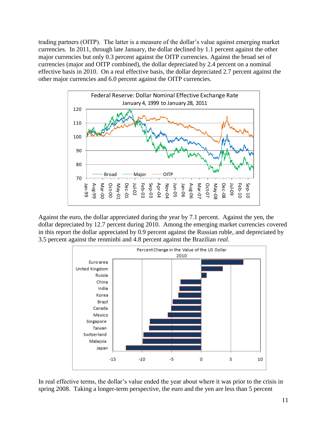trading partners (OITP). The latter is a measure of the dollar's value against emerging market currencies. In 2011, through late January, the dollar declined by 1.1 percent against the other major currencies but only 0.3 percent against the OITP currencies. Against the broad set of currencies (major and OITP combined), the dollar depreciated by 2.4 percent on a nominal effective basis in 2010. On a real effective basis, the dollar depreciated 2.7 percent against the other major currencies and 6.0 percent against the OITP currencies.



Against the euro, the dollar appreciated during the year by 7.1 percent. Against the yen, the dollar depreciated by 12.7 percent during 2010. Among the emerging market currencies covered in this report the dollar appreciated by 0.9 percent against the Russian ruble, and depreciated by 3.5 percent against the renminbi and 4.8 percent against the Brazilian *real*.



In real effective terms, the dollar's value ended the year about where it was prior to the crisis in spring 2008. Taking a longer-term perspective, the euro and the yen are less than 5 percent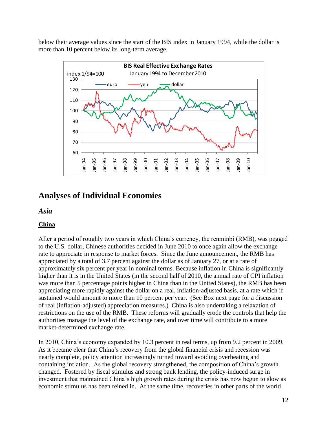below their average values since the start of the BIS index in January 1994, while the dollar is more than 10 percent below its long-term average.



## <span id="page-12-0"></span>**Analyses of Individual Economies**

<span id="page-12-1"></span>*Asia*

#### <span id="page-12-2"></span>**China**

After a period of roughly two years in which China's currency, the renminbi (RMB), was pegged to the U.S. dollar, Chinese authorities decided in June 2010 to once again allow the exchange rate to appreciate in response to market forces. Since the June announcement, the RMB has appreciated by a total of 3.7 percent against the dollar as of January 27, or at a rate of approximately six percent per year in nominal terms. Because inflation in China is significantly higher than it is in the United States (in the second half of 2010, the annual rate of CPI inflation was more than 5 percentage points higher in China than in the United States), the RMB has been appreciating more rapidly against the dollar on a real, inflation-adjusted basis, at a rate which if sustained would amount to more than 10 percent per year. (See Box next page for a discussion of real (inflation-adjusted) appreciation measures.) China is also undertaking a relaxation of restrictions on the use of the RMB. These reforms will gradually erode the controls that help the authorities manage the level of the exchange rate, and over time will contribute to a more market-determined exchange rate.

In 2010, China's economy expanded by 10.3 percent in real terms, up from 9.2 percent in 2009. As it became clear that China's recovery from the global financial crisis and recession was nearly complete, policy attention increasingly turned toward avoiding overheating and containing inflation. As the global recovery strengthened, the composition of China's growth changed. Fostered by fiscal stimulus and strong bank lending, the policy-induced surge in investment that maintained China's high growth rates during the crisis has now begun to slow as economic stimulus has been reined in. At the same time, recoveries in other parts of the world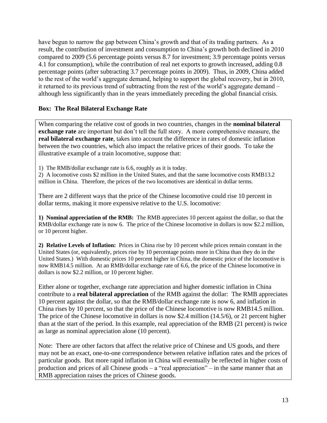have begun to narrow the gap between China's growth and that of its trading partners. As a result, the contribution of investment and consumption to China's growth both declined in 2010 compared to 2009 (5.6 percentage points versus 8.7 for investment; 3.9 percentage points versus 4.1 for consumption), while the contribution of real net exports to growth increased, adding 0.8 percentage points (after subtracting 3.7 percentage points in 2009). Thus, in 2009, China added to the rest of the world's aggregate demand, helping to support the global recovery, but in 2010, it returned to its previous trend of subtracting from the rest of the world's aggregate demand – although less significantly than in the years immediately preceding the global financial crisis.

#### **Box: The Real Bilateral Exchange Rate**

When comparing the relative cost of goods in two countries, changes in the **nominal bilateral exchange rate** are important but don't tell the full story. A more comprehensive measure, the **real bilateral exchange rate**, takes into account the difference in rates of domestic inflation between the two countries, which also impact the relative prices of their goods. To take the illustrative example of a train locomotive, suppose that:

1) The RMB/dollar exchange rate is 6.6, roughly as it is today.

2) A locomotive costs \$2 million in the United States, and that the same locomotive costs RMB13.2 million in China. Therefore, the prices of the two locomotives are identical in dollar terms.

There are 2 different ways that the price of the Chinese locomotive could rise 10 percent in dollar terms, making it more expensive relative to the U.S. locomotive:

**1) Nominal appreciation of the RMB:** The RMB appreciates 10 percent against the dollar, so that the RMB/dollar exchange rate is now 6. The price of the Chinese locomotive in dollars is now \$2.2 million, or 10 percent higher.

**2) Relative Levels of Inflation:** Prices in China rise by 10 percent while prices remain constant in the United States (or, equivalently, prices rise by 10 percentage points more in China than they do in the United States.) With domestic prices 10 percent higher in China, the domestic price of the locomotive is now RMB14.5 million. At an RMB/dollar exchange rate of 6.6, the price of the Chinese locomotive in dollars is now \$2.2 million, or 10 percent higher.

Either alone or together, exchange rate appreciation and higher domestic inflation in China contribute to a **real bilateral appreciation** of the RMB against the dollar: The RMB appreciates 10 percent against the dollar, so that the RMB/dollar exchange rate is now 6, and inflation in China rises by 10 percent, so that the price of the Chinese locomotive is now RMB14.5 million. The price of the Chinese locomotive in dollars is now \$2.4 million (14.5/6), or 21 percent higher than at the start of the period. In this example, real appreciation of the RMB (21 percent) is twice as large as nominal appreciation alone (10 percent).

Note: There are other factors that affect the relative price of Chinese and US goods, and there may not be an exact, one-to-one correspondence between relative inflation rates and the prices of particular goods. But more rapid inflation in China will eventually be reflected in higher costs of production and prices of all Chinese goods – a "real appreciation" – in the same manner that an RMB appreciation raises the prices of Chinese goods.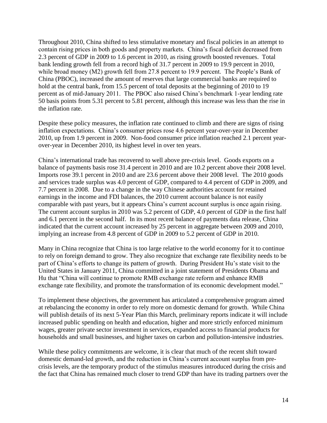Throughout 2010, China shifted to less stimulative monetary and fiscal policies in an attempt to contain rising prices in both goods and property markets. China's fiscal deficit decreased from 2.3 percent of GDP in 2009 to 1.6 percent in 2010, as rising growth boosted revenues. Total bank lending growth fell from a record high of 31.7 percent in 2009 to 19.9 percent in 2010, while broad money (M2) growth fell from 27.8 percent to 19.9 percent. The People's Bank of China (PBOC), increased the amount of reserves that large commercial banks are required to hold at the central bank, from 15.5 percent of total deposits at the beginning of 2010 to 19 percent as of mid-January 2011. The PBOC also raised China's benchmark 1-year lending rate 50 basis points from 5.31 percent to 5.81 percent, although this increase was less than the rise in the inflation rate.

Despite these policy measures, the inflation rate continued to climb and there are signs of rising inflation expectations. China's consumer prices rose 4.6 percent year-over-year in December 2010, up from 1.9 percent in 2009. Non-food consumer price inflation reached 2.1 percent yearover-year in December 2010, its highest level in over ten years.

China's international trade has recovered to well above pre-crisis level. Goods exports on a balance of payments basis rose 31.4 percent in 2010 and are 10.2 percent above their 2008 level. Imports rose 39.1 percent in 2010 and are 23.6 percent above their 2008 level. The 2010 goods and services trade surplus was 4.0 percent of GDP, compared to 4.4 percent of GDP in 2009, and 7.7 percent in 2008. Due to a change in the way Chinese authorities account for retained earnings in the income and FDI balances, the 2010 current account balance is not easily comparable with past years, but it appears China's current account surplus is once again rising. The current account surplus in 2010 was 5.2 percent of GDP, 4.0 percent of GDP in the first half and 6.1 percent in the second half. In its most recent balance of payments data release, China indicated that the current account increased by 25 percent in aggregate between 2009 and 2010, implying an increase from 4.8 percent of GDP in 2009 to 5.2 percent of GDP in 2010.

Many in China recognize that China is too large relative to the world economy for it to continue to rely on foreign demand to grow. They also recognize that exchange rate flexibility needs to be part of China's efforts to change its pattern of growth. During President Hu's state visit to the United States in January 2011, China committed in a joint statement of Presidents Obama and Hu that "China will continue to promote RMB exchange rate reform and enhance RMB exchange rate flexibility, and promote the transformation of its economic development model."

To implement these objectives, the government has articulated a comprehensive program aimed at rebalancing the economy in order to rely more on domestic demand for growth. While China will publish details of its next 5-Year Plan this March, preliminary reports indicate it will include increased public spending on health and education, higher and more strictly enforced minimum wages, greater private sector investment in services, expanded access to financial products for households and small businesses, and higher taxes on carbon and pollution-intensive industries.

While these policy commitments are welcome, it is clear that much of the recent shift toward domestic demand-led growth, and the reduction in China's current account surplus from precrisis levels, are the temporary product of the stimulus measures introduced during the crisis and the fact that China has remained much closer to trend GDP than have its trading partners over the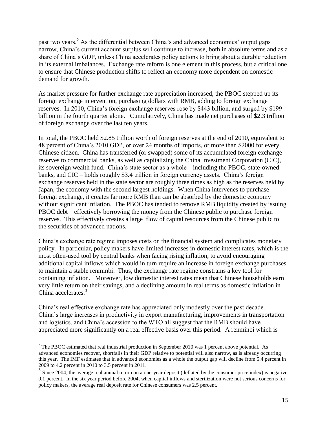past two years.<sup>2</sup> As the differential between China's and advanced economies' output gaps narrow, China's current account surplus will continue to increase, both in absolute terms and as a share of China's GDP, unless China accelerates policy actions to bring about a durable reduction in its external imbalances. Exchange rate reform is one element in this process, but a critical one to ensure that Chinese production shifts to reflect an economy more dependent on domestic demand for growth.

As market pressure for further exchange rate appreciation increased, the PBOC stepped up its foreign exchange intervention, purchasing dollars with RMB, adding to foreign exchange reserves. In 2010, China's foreign exchange reserves rose by \$443 billion, and surged by \$199 billion in the fourth quarter alone. Cumulatively, China has made net purchases of \$2.3 trillion of foreign exchange over the last ten years.

In total, the PBOC held \$2.85 trillion worth of foreign reserves at the end of 2010, equivalent to 48 percent of China's 2010 GDP, or over 24 months of imports, or more than \$2000 for every Chinese citizen. China has transferred (or swapped) some of its accumulated foreign exchange reserves to commercial banks, as well as capitalizing the China Investment Corporation (CIC), its sovereign wealth fund. China's state sector as a whole – including the PBOC, state-owned banks, and CIC – holds roughly \$3.4 trillion in foreign currency assets. China's foreign exchange reserves held in the state sector are roughly three times as high as the reserves held by Japan, the economy with the second largest holdings. When China intervenes to purchase foreign exchange, it creates far more RMB than can be absorbed by the domestic economy without significant inflation. The PBOC has tended to remove RMB liquidity created by issuing PBOC debt – effectively borrowing the money from the Chinese public to purchase foreign reserves. This effectively creates a large flow of capital resources from the Chinese public to the securities of advanced nations.

China's exchange rate regime imposes costs on the financial system and complicates monetary policy. In particular, policy makers have limited increases in domestic interest rates, which is the most often-used tool by central banks when facing rising inflation, to avoid encouraging additional capital inflows which would in turn require an increase in foreign exchange purchases to maintain a stable renminbi. Thus, the exchange rate regime constrains a key tool for containing inflation. Moreover, low domestic interest rates mean that Chinese households earn very little return on their savings, and a declining amount in real terms as domestic inflation in China accelerates.<sup>3</sup>

China's real effective exchange rate has appreciated only modestly over the past decade. China's large increases in productivity in export manufacturing, improvements in transportation and logistics, and China's accession to the WTO all suggest that the RMB should have appreciated more significantly on a real effective basis over this period. A renminbi which is

 $\overline{a}$  $2$  The PBOC estimated that real industrial production in September 2010 was 1 percent above potential. As advanced economies recover, shortfalls in their GDP relative to potential will also narrow, as is already occurring this year. The IMF estimates that in advanced economies as a whole the output gap will decline from 5.4 percent in 2009 to 4.2 percent in 2010 to 3.5 percent in 2011.

<sup>&</sup>lt;sup>3</sup> Since 2004, the average real annual return on a one-year deposit (deflated by the consumer price index) is negative 0.1 percent. In the six year period before 2004, when capital inflows and sterilization were not serious concerns for policy makers, the average real deposit rate for Chinese consumers was 2.5 percent.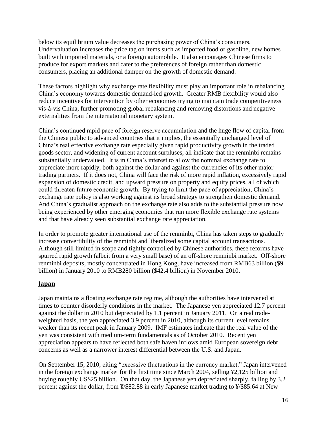below its equilibrium value decreases the purchasing power of China's consumers. Undervaluation increases the price tag on items such as imported food or gasoline, new homes built with imported materials, or a foreign automobile. It also encourages Chinese firms to produce for export markets and cater to the preferences of foreign rather than domestic consumers, placing an additional damper on the growth of domestic demand.

These factors highlight why exchange rate flexibility must play an important role in rebalancing China's economy towards domestic demand-led growth. Greater RMB flexibility would also reduce incentives for intervention by other economies trying to maintain trade competitiveness vis-à-vis China, further promoting global rebalancing and removing distortions and negative externalities from the international monetary system.

China's continued rapid pace of foreign reserve accumulation and the huge flow of capital from the Chinese public to advanced countries that it implies, the essentially unchanged level of China's real effective exchange rate especially given rapid productivity growth in the traded goods sector, and widening of current account surpluses, all indicate that the renminbi remains substantially undervalued. It is in China's interest to allow the nominal exchange rate to appreciate more rapidly, both against the dollar and against the currencies of its other major trading partners. If it does not, China will face the risk of more rapid inflation, excessively rapid expansion of domestic credit, and upward pressure on property and equity prices, all of which could threaten future economic growth. By trying to limit the pace of appreciation, China's exchange rate policy is also working against its broad strategy to strengthen domestic demand. And China's gradualist approach on the exchange rate also adds to the substantial pressure now being experienced by other emerging economies that run more flexible exchange rate systems and that have already seen substantial exchange rate appreciation.

In order to promote greater international use of the renminbi, China has taken steps to gradually increase convertibility of the renminbi and liberalized some capital account transactions. Although still limited in scope and tightly controlled by Chinese authorities, these reforms have spurred rapid growth (albeit from a very small base) of an off-shore renminbi market. Off-shore renminbi deposits, mostly concentrated in Hong Kong, have increased from RMB63 billion (\$9 billion) in January 2010 to RMB280 billion (\$42.4 billion) in November 2010.

#### <span id="page-16-0"></span>**Japan**

Japan maintains a floating exchange rate regime, although the authorities have intervened at times to counter disorderly conditions in the market. The Japanese yen appreciated 12.7 percent against the dollar in 2010 but depreciated by 1.1 percent in January 2011. On a real tradeweighted basis, the yen appreciated 3.9 percent in 2010, although its current level remains weaker than its recent peak in January 2009. IMF estimates indicate that the real value of the yen was consistent with medium-term fundamentals as of October 2010. Recent yen appreciation appears to have reflected both safe haven inflows amid European sovereign debt concerns as well as a narrower interest differential between the U.S. and Japan.

On September 15, 2010, citing "excessive fluctuations in the currency market," Japan intervened in the foreign exchange market for the first time since March 2004, selling ¥2,125 billion and buying roughly US\$25 billion. On that day, the Japanese yen depreciated sharply, falling by 3.2 percent against the dollar, from ¥/\$82.88 in early Japanese market trading to ¥/\$85.64 at New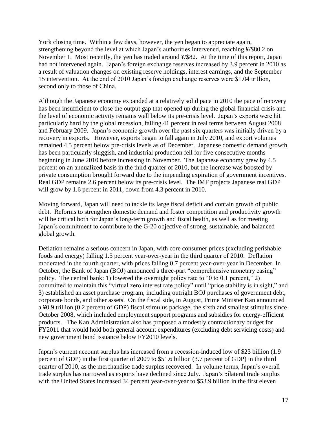York closing time. Within a few days, however, the yen began to appreciate again, strengthening beyond the level at which Japan's authorities intervened, reaching ¥/\$80.2 on November 1. Most recently, the yen has traded around ¥/\$82. At the time of this report, Japan had not intervened again. Japan's foreign exchange reserves increased by 3.9 percent in 2010 as a result of valuation changes on existing reserve holdings, interest earnings, and the September 15 intervention. At the end of 2010 Japan's foreign exchange reserves were \$1.04 trillion, second only to those of China.

Although the Japanese economy expanded at a relatively solid pace in 2010 the pace of recovery has been insufficient to close the output gap that opened up during the global financial crisis and the level of economic activity remains well below its pre-crisis level. Japan's exports were hit particularly hard by the global recession, falling 41 percent in real terms between August 2008 and February 2009. Japan's economic growth over the past six quarters was initially driven by a recovery in exports. However, exports began to fall again in July 2010, and export volumes remained 4.5 percent below pre-crisis levels as of December. Japanese domestic demand growth has been particularly sluggish, and industrial production fell for five consecutive months beginning in June 2010 before increasing in November. The Japanese economy grew by 4.5 percent on an annualized basis in the third quarter of 2010, but the increase was boosted by private consumption brought forward due to the impending expiration of government incentives. Real GDP remains 2.6 percent below its pre-crisis level. The IMF projects Japanese real GDP will grow by 1.6 percent in 2011, down from 4.3 percent in 2010.

Moving forward, Japan will need to tackle its large fiscal deficit and contain growth of public debt. Reforms to strengthen domestic demand and foster competition and productivity growth will be critical both for Japan's long-term growth and fiscal health, as well as for meeting Japan's commitment to contribute to the G-20 objective of strong, sustainable, and balanced global growth.

Deflation remains a serious concern in Japan, with core consumer prices (excluding perishable foods and energy) falling 1.5 percent year-over-year in the third quarter of 2010. Deflation moderated in the fourth quarter, with prices falling 0.7 percent year-over-year in December. In October, the Bank of Japan (BOJ) announced a three-part "comprehensive monetary easing" policy. The central bank: 1) lowered the overnight policy rate to "0 to 0.1 percent," 2) committed to maintain this "virtual zero interest rate policy" until "price stability is in sight," and 3) established an asset purchase program, including outright BOJ purchases of government debt, corporate bonds, and other assets. On the fiscal side, in August, Prime Minister Kan announced a ¥0.9 trillion (0.2 percent of GDP) fiscal stimulus package, the sixth and smallest stimulus since October 2008, which included employment support programs and subsidies for energy-efficient products. The Kan Administration also has proposed a modestly contractionary budget for FY2011 that would hold both general account expenditures (excluding debt servicing costs) and new government bond issuance below FY2010 levels.

Japan's current account surplus has increased from a recession-induced low of \$23 billion (1.9 percent of GDP) in the first quarter of 2009 to \$51.6 billion (3.7 percent of GDP) in the third quarter of 2010, as the merchandise trade surplus recovered. In volume terms, Japan's overall trade surplus has narrowed as exports have declined since July. Japan's bilateral trade surplus with the United States increased 34 percent year-over-year to \$53.9 billion in the first eleven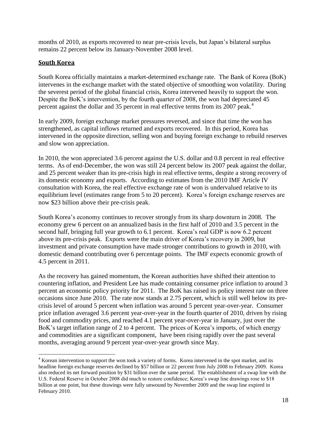months of 2010, as exports recovered to near pre-crisis levels, but Japan's bilateral surplus remains 22 percent below its January-November 2008 level.

#### <span id="page-18-0"></span>**South Korea**

 $\overline{a}$ 

South Korea officially maintains a market-determined exchange rate. The Bank of Korea (BoK) intervenes in the exchange market with the stated objective of smoothing won volatility. During the severest period of the global financial crisis, Korea intervened heavily to support the won. Despite the BoK's intervention, by the fourth quarter of 2008, the won had depreciated 45 percent against the dollar and 35 percent in real effective terms from its 2007 peak.<sup>4</sup>

In early 2009, foreign exchange market pressures reversed, and since that time the won has strengthened, as capital inflows returned and exports recovered. In this period, Korea has intervened in the opposite direction, selling won and buying foreign exchange to rebuild reserves and slow won appreciation.

In 2010, the won appreciated 3.6 percent against the U.S. dollar and 0.8 percent in real effective terms. As of end-December, the won was still 24 percent below its 2007 peak against the dollar, and 25 percent weaker than its pre-crisis high in real effective terms, despite a strong recovery of its domestic economy and exports. According to estimates from the 2010 IMF Article IV consultation with Korea, the real effective exchange rate of won is undervalued relative to its equilibrium level (estimates range from 5 to 20 percent). Korea's foreign exchange reserves are now \$23 billion above their pre-crisis peak.

South Korea's economy continues to recover strongly from its sharp downturn in 2008. The economy grew 6 percent on an annualized basis in the first half of 2010 and 3.5 percent in the second half, bringing full year growth to 6.1 percent. Korea's real GDP is now 6.2 percent above its pre-crisis peak. Exports were the main driver of Korea's recovery in 2009, but investment and private consumption have made stronger contributions to growth in 2010, with domestic demand contributing over 6 percentage points. The IMF expects economic growth of 4.5 percent in 2011.

As the recovery has gained momentum, the Korean authorities have shifted their attention to countering inflation, and President Lee has made containing consumer price inflation to around 3 percent an economic policy priority for 2011. The BoK has raised its policy interest rate on three occasions since June 2010. The rate now stands at 2.75 percent, which is still well below its precrisis level of around 5 percent when inflation was around 5 percent year-over-year. Consumer price inflation averaged 3.6 percent year-over-year in the fourth quarter of 2010, driven by rising food and commodity prices, and reached 4.1 percent year-over-year in January, just over the BoK's target inflation range of 2 to 4 percent. The prices of Korea's imports, of which energy and commodities are a significant component, have been rising rapidly over the past several months, averaging around 9 percent year-over-year growth since May.

 $4$  Korean intervention to support the won took a variety of forms. Korea intervened in the spot market, and its headline foreign exchange reserves declined by \$57 billion or 22 percent from July 2008 to February 2009. Korea also reduced its net forward position by \$31 billion over the same period. The establishment of a swap line with the U.S. Federal Reserve in October 2008 did much to restore confidence; Korea's swap line drawings rose to \$18 billion at one point, but these drawings were fully unwound by November 2009 and the swap line expired in February 2010.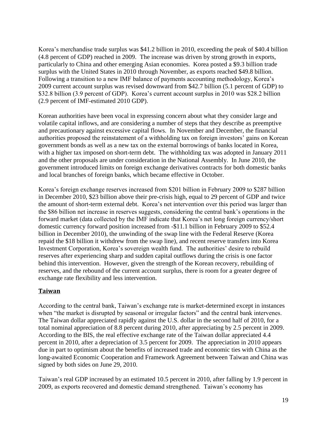Korea's merchandise trade surplus was \$41.2 billion in 2010, exceeding the peak of \$40.4 billion (4.8 percent of GDP) reached in 2009. The increase was driven by strong growth in exports, particularly to China and other emerging Asian economies. Korea posted a \$9.3 billion trade surplus with the United States in 2010 through November, as exports reached \$49.8 billion. Following a transition to a new IMF balance of payments accounting methodology, Korea's 2009 current account surplus was revised downward from \$42.7 billion (5.1 percent of GDP) to \$32.8 billion (3.9 percent of GDP). Korea's current account surplus in 2010 was \$28.2 billion (2.9 percent of IMF-estimated 2010 GDP).

Korean authorities have been vocal in expressing concern about what they consider large and volatile capital inflows, and are considering a number of steps that they describe as preemptive and precautionary against excessive capital flows. In November and December, the financial authorities proposed the reinstatement of a withholding tax on foreign investors' gains on Korean government bonds as well as a new tax on the external borrowings of banks located in Korea, with a higher tax imposed on short-term debt. The withholding tax was adopted in January 2011 and the other proposals are under consideration in the National Assembly. In June 2010, the government introduced limits on foreign exchange derivatives contracts for both domestic banks and local branches of foreign banks, which became effective in October.

<span id="page-19-0"></span>Korea's foreign exchange reserves increased from \$201 billion in February 2009 to \$287 billion in December 2010, \$23 billion above their pre-crisis high, equal to 29 percent of GDP and twice the amount of short-term external debt. Korea's net intervention over this period was larger than the \$86 billion net increase in reserves suggests, considering the central bank's operations in the forward market (data collected by the IMF indicate that Korea's net long foreign currency/short domestic currency forward position increased from -\$11.1 billion in February 2009 to \$52.4 billion in December 2010), the unwinding of the swap line with the Federal Reserve (Korea repaid the \$18 billion it withdrew from the swap line), and recent reserve transfers into Korea Investment Corporation, Korea's sovereign wealth fund. The authorities' desire to rebuild reserves after experiencing sharp and sudden capital outflows during the crisis is one factor behind this intervention. However, given the strength of the Korean recovery, rebuilding of reserves, and the rebound of the current account surplus, there is room for a greater degree of exchange rate flexibility and less intervention.

#### **Taiwan**

According to the central bank, Taiwan's exchange rate is market-determined except in instances when "the market is disrupted by seasonal or irregular factors" and the central bank intervenes. The Taiwan dollar appreciated rapidly against the U.S. dollar in the second half of 2010, for a total nominal appreciation of 8.8 percent during 2010, after appreciating by 2.5 percent in 2009. According to the BIS, the real effective exchange rate of the Taiwan dollar appreciated 4.4 percent in 2010, after a depreciation of 3.5 percent for 2009. The appreciation in 2010 appears due in part to optimism about the benefits of increased trade and economic ties with China as the long-awaited Economic Cooperation and Framework Agreement between Taiwan and China was signed by both sides on June 29, 2010.

Taiwan's real GDP increased by an estimated 10.5 percent in 2010, after falling by 1.9 percent in 2009, as exports recovered and domestic demand strengthened. Taiwan's economy has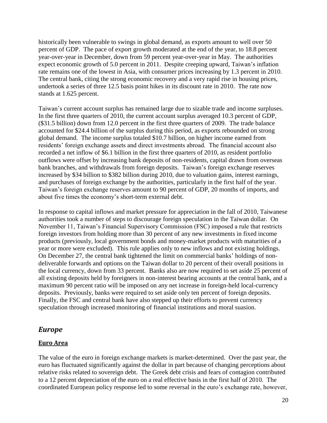historically been vulnerable to swings in global demand, as exports amount to well over 50 percent of GDP. The pace of export growth moderated at the end of the year, to 18.8 percent year-over-year in December, down from 59 percent year-over-year in May. The authorities expect economic growth of 5.0 percent in 2011. Despite creeping upward, Taiwan's inflation rate remains one of the lowest in Asia, with consumer prices increasing by 1.3 percent in 2010. The central bank, citing the strong economic recovery and a very rapid rise in housing prices, undertook a series of three 12.5 basis point hikes in its discount rate in 2010. The rate now stands at 1.625 percent.

Taiwan's current account surplus has remained large due to sizable trade and income surpluses. In the first three quarters of 2010, the current account surplus averaged 10.3 percent of GDP, (\$31.5 billion) down from 12.0 percent in the first three quarters of 2009. The trade balance accounted for \$24.4 billion of the surplus during this period, as exports rebounded on strong global demand. The income surplus totaled \$10.7 billion, on higher income earned from residents' foreign exchange assets and direct investments abroad. The financial account also recorded a net inflow of \$6.1 billion in the first three quarters of 2010, as resident portfolio outflows were offset by increasing bank deposits of non-residents, capital drawn from overseas bank branches, and withdrawals from foreign deposits. Taiwan's foreign exchange reserves increased by \$34 billion to \$382 billion during 2010, due to valuation gains, interest earnings, and purchases of foreign exchange by the authorities, particularly in the first half of the year. Taiwan's foreign exchange reserves amount to 90 percent of GDP, 20 months of imports, and about five times the economy's short-term external debt.

In response to capital inflows and market pressure for appreciation in the fall of 2010, Taiwanese authorities took a number of steps to discourage foreign speculation in the Taiwan dollar. On November 11, Taiwan's Financial Supervisory Commission (FSC) imposed a rule that restricts foreign investors from holding more than 30 percent of any new investments in fixed income products (previously, local government bonds and money-market products with maturities of a year or more were excluded). This rule applies only to new inflows and not existing holdings. On December 27, the central bank tightened the limit on commercial banks' holdings of nondeliverable forwards and options on the Taiwan dollar to 20 percent of their overall positions in the local currency, down from 33 percent. Banks also are now required to set aside 25 percent of all existing deposits held by foreigners in non-interest bearing accounts at the central bank, and a maximum 90 percent ratio will be imposed on any net increase in foreign-held local-currency deposits. Previously, banks were required to set aside only ten percent of foreign deposits. Finally, the FSC and central bank have also stepped up their efforts to prevent currency speculation through increased monitoring of financial institutions and moral suasion.

#### <span id="page-20-0"></span>*Europe*

#### <span id="page-20-1"></span>**Euro Area**

The value of the euro in foreign exchange markets is market-determined. Over the past year, the euro has fluctuated significantly against the dollar in part because of changing perceptions about relative risks related to sovereign debt. The Greek debt crisis and fears of contagion contributed to a 12 percent depreciation of the euro on a real effective basis in the first half of 2010. The coordinated European policy response led to some reversal in the euro's exchange rate, however,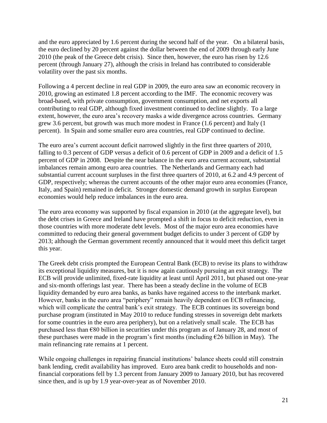and the euro appreciated by 1.6 percent during the second half of the year. On a bilateral basis, the euro declined by 20 percent against the dollar between the end of 2009 through early June 2010 (the peak of the Greece debt crisis). Since then, however, the euro has risen by 12.6 percent (through January 27), although the crisis in Ireland has contributed to considerable volatility over the past six months.

Following a 4 percent decline in real GDP in 2009, the euro area saw an economic recovery in 2010, growing an estimated 1.8 percent according to the IMF. The economic recovery was broad-based, with private consumption, government consumption, and net exports all contributing to real GDP, although fixed investment continued to decline slightly. To a large extent, however, the euro area's recovery masks a wide divergence across countries. Germany grew 3.6 percent, but growth was much more modest in France (1.6 percent) and Italy (1 percent). In Spain and some smaller euro area countries, real GDP continued to decline.

The euro area's current account deficit narrowed slightly in the first three quarters of 2010, falling to 0.3 percent of GDP versus a deficit of 0.6 percent of GDP in 2009 and a deficit of 1.5 percent of GDP in 2008. Despite the near balance in the euro area current account, substantial imbalances remain among euro area countries. The Netherlands and Germany each had substantial current account surpluses in the first three quarters of 2010, at 6.2 and 4.9 percent of GDP, respectively; whereas the current accounts of the other major euro area economies (France, Italy, and Spain) remained in deficit. Stronger domestic demand growth in surplus European economies would help reduce imbalances in the euro area.

The euro area economy was supported by fiscal expansion in 2010 (at the aggregate level), but the debt crises in Greece and Ireland have prompted a shift in focus to deficit reduction, even in those countries with more moderate debt levels. Most of the major euro area economies have committed to reducing their general government budget deficits to under 3 percent of GDP by 2013; although the German government recently announced that it would meet this deficit target this year.

The Greek debt crisis prompted the European Central Bank (ECB) to revise its plans to withdraw its exceptional liquidity measures, but it is now again cautiously pursuing an exit strategy. The ECB will provide unlimited, fixed-rate liquidity at least until April 2011, but phased out one-year and six-month offerings last year. There has been a steady decline in the volume of ECB liquidity demanded by euro area banks, as banks have regained access to the interbank market. However, banks in the euro area "periphery" remain heavily dependent on ECB refinancing, which will complicate the central bank's exit strategy. The ECB continues its sovereign bond purchase program (instituted in May 2010 to reduce funding stresses in sovereign debt markets for some countries in the euro area periphery), but on a relatively small scale. The ECB has purchased less than €80 billion in securities under this program as of January 28, and most of these purchases were made in the program's first months (including  $\epsilon$ 26 billion in May). The main refinancing rate remains at 1 percent.

While ongoing challenges in repairing financial institutions' balance sheets could still constrain bank lending, credit availability has improved. Euro area bank credit to households and nonfinancial corporations fell by 1.3 percent from January 2009 to January 2010, but has recovered since then, and is up by 1.9 year-over-year as of November 2010.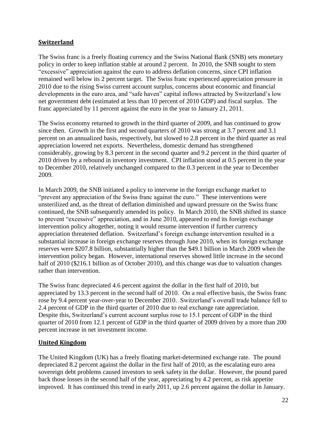#### <span id="page-22-0"></span>**Switzerland**

The Swiss franc is a freely floating currency and the Swiss National Bank (SNB) sets monetary policy in order to keep inflation stable at around 2 percent. In 2010, the SNB sought to stem "excessive" appreciation against the euro to address deflation concerns, since CPI inflation remained well below its 2 percent target. The Swiss franc experienced appreciation pressure in 2010 due to the rising Swiss current account surplus, concerns about economic and financial developments in the euro area, and "safe haven" capital inflows attracted by Switzerland's low net government debt (estimated at less than 10 percent of 2010 GDP) and fiscal surplus. The franc appreciated by 11 percent against the euro in the year to January 21, 2011.

The Swiss economy returned to growth in the third quarter of 2009, and has continued to grow since then. Growth in the first and second quarters of 2010 was strong at 3.7 percent and 3.1 percent on an annualized basis, respectively, but slowed to 2.8 percent in the third quarter as real appreciation lowered net exports. Nevertheless, domestic demand has strengthened considerably, growing by 8.3 percent in the second quarter and 9.2 percent in the third quarter of 2010 driven by a rebound in inventory investment. CPI inflation stood at 0.5 percent in the year to December 2010, relatively unchanged compared to the 0.3 percent in the year to December 2009.

In March 2009, the SNB initiated a policy to intervene in the foreign exchange market to "prevent any appreciation of the Swiss franc against the euro." These interventions were unsterilized and, as the threat of deflation diminished and upward pressure on the Swiss franc continued, the SNB subsequently amended its policy. In March 2010, the SNB shifted its stance to prevent "excessive" appreciation, and in June 2010, appeared to end its foreign exchange intervention policy altogether, noting it would resume intervention if further currency appreciation threatened deflation. Switzerland's foreign exchange intervention resulted in a substantial increase in foreign exchange reserves through June 2010, when its foreign exchange reserves were \$207.8 billion, substantially higher than the \$49.1 billion in March 2009 when the intervention policy began. However, international reserves showed little increase in the second half of 2010 (\$216.1 billion as of October 2010), and this change was due to valuation changes rather than intervention.

The Swiss franc depreciated 4.6 percent against the dollar in the first half of 2010, but appreciated by 13.3 percent in the second half of 2010. On a real effective basis, the Swiss franc rose by 9.4 percent year-over-year to December 2010. Switzerland's overall trade balance fell to 2.4 percent of GDP in the third quarter of 2010 due to real exchange rate appreciation. Despite this, Switzerland's current account surplus rose to 15.1 percent of GDP in the third quarter of 2010 from 12.1 percent of GDP in the third quarter of 2009 driven by a more than 200 percent increase in net investment income.

#### <span id="page-22-1"></span>**United Kingdom**

The United Kingdom (UK) has a freely floating market-determined exchange rate. The pound depreciated 8.2 percent against the dollar in the first half of 2010, as the escalating euro area sovereign debt problems caused investors to seek safety in the dollar. However, the pound pared back those losses in the second half of the year, appreciating by 4.2 percent, as risk appetite improved. It has continued this trend in early 2011, up 2.6 percent against the dollar in January.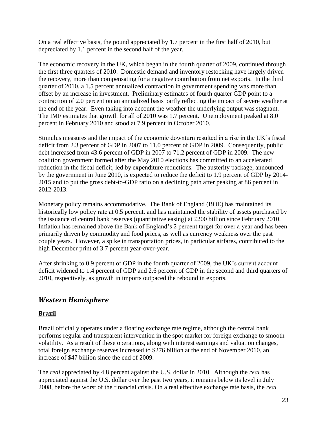On a real effective basis, the pound appreciated by 1.7 percent in the first half of 2010, but depreciated by 1.1 percent in the second half of the year.

The economic recovery in the UK, which began in the fourth quarter of 2009, continued through the first three quarters of 2010. Domestic demand and inventory restocking have largely driven the recovery, more than compensating for a negative contribution from net exports. In the third quarter of 2010, a 1.5 percent annualized contraction in government spending was more than offset by an increase in investment. Preliminary estimates of fourth quarter GDP point to a contraction of 2.0 percent on an annualized basis partly reflecting the impact of severe weather at the end of the year. Even taking into account the weather the underlying output was stagnant. The IMF estimates that growth for all of 2010 was 1.7 percent. Unemployment peaked at 8.0 percent in February 2010 and stood at 7.9 percent in October 2010.

Stimulus measures and the impact of the economic downturn resulted in a rise in the UK's fiscal deficit from 2.3 percent of GDP in 2007 to 11.0 percent of GDP in 2009. Consequently, public debt increased from 43.6 percent of GDP in 2007 to 71.2 percent of GDP in 2009. The new coalition government formed after the May 2010 elections has committed to an accelerated reduction in the fiscal deficit, led by expenditure reductions. The austerity package, announced by the government in June 2010, is expected to reduce the deficit to 1.9 percent of GDP by 2014- 2015 and to put the gross debt-to-GDP ratio on a declining path after peaking at 86 percent in 2012-2013.

Monetary policy remains accommodative. The Bank of England (BOE) has maintained its historically low policy rate at 0.5 percent, and has maintained the stability of assets purchased by the issuance of central bank reserves (quantitative easing) at £200 billion since February 2010. Inflation has remained above the Bank of England's 2 percent target for over a year and has been primarily driven by commodity and food prices, as well as currency weakness over the past couple years. However, a spike in transportation prices, in particular airfares, contributed to the high December print of 3.7 percent year-over-year.

After shrinking to 0.9 percent of GDP in the fourth quarter of 2009, the UK's current account deficit widened to 1.4 percent of GDP and 2.6 percent of GDP in the second and third quarters of 2010, respectively, as growth in imports outpaced the rebound in exports.

### <span id="page-23-0"></span>*Western Hemisphere*

#### <span id="page-23-1"></span>**Brazil**

Brazil officially operates under a floating exchange rate regime, although the central bank performs regular and transparent intervention in the spot market for foreign exchange to smooth volatility. As a result of these operations, along with interest earnings and valuation changes, total foreign exchange reserves increased to \$276 billion at the end of November 2010, an increase of \$47 billion since the end of 2009.

The *real* appreciated by 4.8 percent against the U.S. dollar in 2010. Although the *real* has appreciated against the U.S. dollar over the past two years, it remains below its level in July 2008, before the worst of the financial crisis. On a real effective exchange rate basis, the *real*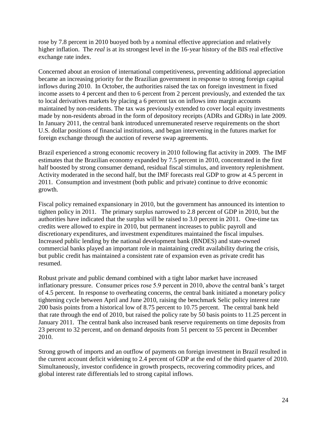rose by 7.8 percent in 2010 buoyed both by a nominal effective appreciation and relatively higher inflation. The *real* is at its strongest level in the 16-year history of the BIS real effective exchange rate index.

Concerned about an erosion of international competitiveness, preventing additional appreciation became an increasing priority for the Brazilian government in response to strong foreign capital inflows during 2010. In October, the authorities raised the tax on foreign investment in fixed income assets to 4 percent and then to 6 percent from 2 percent previously, and extended the tax to local derivatives markets by placing a 6 percent tax on inflows into margin accounts maintained by non-residents. The tax was previously extended to cover local equity investments made by non-residents abroad in the form of depository receipts (ADRs and GDRs) in late 2009. In January 2011, the central bank introduced unremunerated reserve requirements on the short U.S. dollar positions of financial institutions, and began intervening in the futures market for foreign exchange through the auction of reverse swap agreements.

Brazil experienced a strong economic recovery in 2010 following flat activity in 2009. The IMF estimates that the Brazilian economy expanded by 7.5 percent in 2010, concentrated in the first half boosted by strong consumer demand, residual fiscal stimulus, and inventory replenishment. Activity moderated in the second half, but the IMF forecasts real GDP to grow at 4.5 percent in 2011. Consumption and investment (both public and private) continue to drive economic growth.

Fiscal policy remained expansionary in 2010, but the government has announced its intention to tighten policy in 2011. The primary surplus narrowed to 2.8 percent of GDP in 2010, but the authorities have indicated that the surplus will be raised to 3.0 percent in 2011. One-time tax credits were allowed to expire in 2010, but permanent increases to public payroll and discretionary expenditures, and investment expenditures maintained the fiscal impulses. Increased public lending by the national development bank (BNDES) and state-owned commercial banks played an important role in maintaining credit availability during the crisis, but public credit has maintained a consistent rate of expansion even as private credit has resumed.

Robust private and public demand combined with a tight labor market have increased inflationary pressure. Consumer prices rose 5.9 percent in 2010, above the central bank's target of 4.5 percent. In response to overheating concerns, the central bank initiated a monetary policy tightening cycle between April and June 2010, raising the benchmark Selic policy interest rate 200 basis points from a historical low of 8.75 percent to 10.75 percent. The central bank held that rate through the end of 2010, but raised the policy rate by 50 basis points to 11.25 percent in January 2011. The central bank also increased bank reserve requirements on time deposits from 23 percent to 32 percent, and on demand deposits from 51 percent to 55 percent in December 2010.

Strong growth of imports and an outflow of payments on foreign investment in Brazil resulted in the current account deficit widening to 2.4 percent of GDP at the end of the third quarter of 2010. Simultaneously, investor confidence in growth prospects, recovering commodity prices, and global interest rate differentials led to strong capital inflows.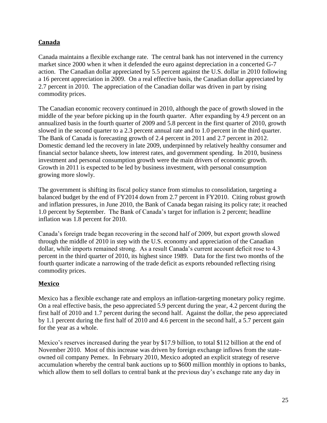#### <span id="page-25-0"></span>**Canada**

Canada maintains a flexible exchange rate. The central bank has not intervened in the currency market since 2000 when it when it defended the euro against depreciation in a concerted G-7 action. The Canadian dollar appreciated by 5.5 percent against the U.S. dollar in 2010 following a 16 percent appreciation in 2009. On a real effective basis, the Canadian dollar appreciated by 2.7 percent in 2010. The appreciation of the Canadian dollar was driven in part by rising commodity prices.

The Canadian economic recovery continued in 2010, although the pace of growth slowed in the middle of the year before picking up in the fourth quarter. After expanding by 4.9 percent on an annualized basis in the fourth quarter of 2009 and 5.8 percent in the first quarter of 2010, growth slowed in the second quarter to a 2.3 percent annual rate and to 1.0 percent in the third quarter. The Bank of Canada is forecasting growth of 2.4 percent in 2011 and 2.7 percent in 2012. Domestic demand led the recovery in late 2009, underpinned by relatively healthy consumer and financial sector balance sheets, low interest rates, and government spending. In 2010, business investment and personal consumption growth were the main drivers of economic growth. Growth in 2011 is expected to be led by business investment, with personal consumption growing more slowly.

The government is shifting its fiscal policy stance from stimulus to consolidation, targeting a balanced budget by the end of FY2014 down from 2.7 percent in FY2010. Citing robust growth and inflation pressures, in June 2010, the Bank of Canada began raising its policy rate; it reached 1.0 percent by September. The Bank of Canada's target for inflation is 2 percent; headline inflation was 1.8 percent for 2010.

Canada's foreign trade began recovering in the second half of 2009, but export growth slowed through the middle of 2010 in step with the U.S. economy and appreciation of the Canadian dollar, while imports remained strong. As a result Canada's current account deficit rose to 4.3 percent in the third quarter of 2010, its highest since 1989. Data for the first two months of the fourth quarter indicate a narrowing of the trade deficit as exports rebounded reflecting rising commodity prices.

#### <span id="page-25-1"></span>**Mexico**

Mexico has a flexible exchange rate and employs an inflation-targeting monetary policy regime. On a real effective basis, the peso appreciated 5.9 percent during the year, 4.2 percent during the first half of 2010 and 1.7 percent during the second half. Against the dollar, the peso appreciated by 1.1 percent during the first half of 2010 and 4.6 percent in the second half, a 5.7 percent gain for the year as a whole.

Mexico's reserves increased during the year by \$17.9 billion, to total \$112 billion at the end of November 2010. Most of this increase was driven by foreign exchange inflows from the stateowned oil company Pemex. In February 2010, Mexico adopted an explicit strategy of reserve accumulation whereby the central bank auctions up to \$600 million monthly in options to banks, which allow them to sell dollars to central bank at the previous day's exchange rate any day in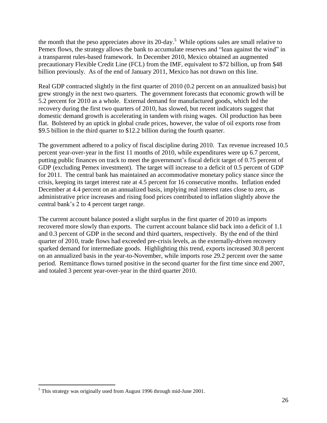the month that the peso appreciates above its  $20$ -day.<sup>5</sup> While options sales are small relative to Pemex flows, the strategy allows the bank to accumulate reserves and "lean against the wind" in a transparent rules-based framework. In December 2010, Mexico obtained an augmented precautionary Flexible Credit Line (FCL) from the IMF, equivalent to \$72 billion, up from \$48 billion previously. As of the end of January 2011, Mexico has not drawn on this line.

Real GDP contracted slightly in the first quarter of 2010 (0.2 percent on an annualized basis) but grew strongly in the next two quarters. The government forecasts that economic growth will be 5.2 percent for 2010 as a whole. External demand for manufactured goods, which led the recovery during the first two quarters of 2010, has slowed, but recent indicators suggest that domestic demand growth is accelerating in tandem with rising wages. Oil production has been flat. Bolstered by an uptick in global crude prices, however, the value of oil exports rose from \$9.5 billion in the third quarter to \$12.2 billion during the fourth quarter.

The government adhered to a policy of fiscal discipline during 2010. Tax revenue increased 10.5 percent year-over-year in the first 11 months of 2010, while expenditures were up 6.7 percent, putting public finances on track to meet the government's fiscal deficit target of 0.75 percent of GDP (excluding Pemex investment). The target will increase to a deficit of 0.5 percent of GDP for 2011. The central bank has maintained an accommodative monetary policy stance since the crisis, keeping its target interest rate at 4.5 percent for 16 consecutive months. Inflation ended December at 4.4 percent on an annualized basis, implying real interest rates close to zero, as administrative price increases and rising food prices contributed to inflation slightly above the central bank's 2 to 4 percent target range.

The current account balance posted a slight surplus in the first quarter of 2010 as imports recovered more slowly than exports. The current account balance slid back into a deficit of 1.1 and 0.3 percent of GDP in the second and third quarters, respectively. By the end of the third quarter of 2010, trade flows had exceeded pre-crisis levels, as the externally-driven recovery sparked demand for intermediate goods. Highlighting this trend, exports increased 30.8 percent on an annualized basis in the year-to-November, while imports rose 29.2 percent over the same period. Remittance flows turned positive in the second quarter for the first time since end 2007, and totaled 3 percent year-over-year in the third quarter 2010.

 $\overline{a}$ 

 $<sup>5</sup>$  This strategy was originally used from August 1996 through mid-June 2001.</sup>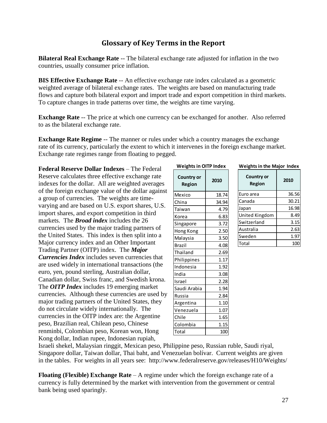## **Glossary of Key Terms in the Report**

<span id="page-27-0"></span>**Bilateral Real Exchange Rate** -- The bilateral exchange rate adjusted for inflation in the two countries, usually consumer price inflation.

**BIS Effective Exchange Rate** -- An effective exchange rate index calculated as a geometric weighted average of bilateral exchange rates. The weights are based on manufacturing trade flows and capture both bilateral export and import trade and export competition in third markets. To capture changes in trade patterns over time, the weights are time varying.

**Exchange Rate** -- The price at which one currency can be exchanged for another. Also referred to as the bilateral exchange rate.

**Exchange Rate Regime** -- The manner or rules under which a country manages the exchange rate of its currency, particularly the extent to which it intervenes in the foreign exchange market. Exchange rate regimes range from floating to pegged.

**Federal Reserve Dollar Indexes** – The Federal Reserve calculates three effective exchange rate indexes for the dollar. All are weighted averages of the foreign exchange value of the dollar against a group of currencies. The weights are timevarying and are based on U.S. export shares, U.S. import shares, and export competition in third markets. The *Broad index* includes the 26 currencies used by the major trading partners of the United States. This index is then split into a Major currency index and an Other Important Trading Partner (OITP) index. The *Major Currencies Index* includes seven currencies that are used widely in international transactions (the euro, yen, pound sterling, Australian dollar, Canadian dollar, Swiss franc, and Swedish krona. The *OITP Index* includes 19 emerging market currencies. Although these currencies are used by major trading partners of the United States, they do not circulate widely internationally. The currencies in the OITP index are: the Argentine peso, Brazilian real, Chilean peso, Chinese renminbi, Colombian peso, Korean won, Hong Kong dollar, Indian rupee, Indonesian rupiah,

| WEIBIUS III UITE IIIUEA |       |  |  |  |
|-------------------------|-------|--|--|--|
| Country or<br>Region    | 2010  |  |  |  |
| Mexico                  | 18.74 |  |  |  |
| China                   | 34.94 |  |  |  |
| Taiwan                  | 4.79  |  |  |  |
| Korea                   | 6.83  |  |  |  |
| Singapore               | 3.72  |  |  |  |
| Hong Kong               | 2.50  |  |  |  |
| Malaysia                | 3.50  |  |  |  |
| Brazil                  | 4.08  |  |  |  |
| Thailand                | 2.69  |  |  |  |
| Philippines             | 1.17  |  |  |  |
| Indonesia               | 1.92  |  |  |  |
| India                   | 3.08  |  |  |  |
| Israel                  | 2.28  |  |  |  |
| Saudi Arabia            | 1.94  |  |  |  |
| Russia                  | 2.84  |  |  |  |
| Argentina               | 1.10  |  |  |  |
| Venezuela               | 1.07  |  |  |  |
| Chile                   | 1.65  |  |  |  |
| Colombia                | 1.15  |  |  |  |
| Total                   | 100   |  |  |  |

**Weights in OITP Index**

| <b>Weights in the Major Index</b> |  |  |
|-----------------------------------|--|--|
|                                   |  |  |

| <b>Country or</b><br>Region | 2010  |
|-----------------------------|-------|
| Euro area                   | 36.56 |
| Canada                      | 30.21 |
| Japan                       | 16.98 |
| United Kingdom              | 8.49  |
| Switzerland                 | 3.15  |
| Australia                   | 2.63  |
| Sweden                      | 1.97  |
| Total                       | 10    |

Israeli shekel, Malaysian ringgit, Mexican peso, Philippine peso, Russian ruble, Saudi riyal, Singapore dollar, Taiwan dollar, Thai baht, and Venezuelan bolívar. Current weights are given in the tables. For weights in all years see: http://www.federalreserve.gov/releases/H10/Weights/

**Floating (Flexible) Exchange Rate** – A regime under which the foreign exchange rate of a currency is fully determined by the market with intervention from the government or central bank being used sparingly.